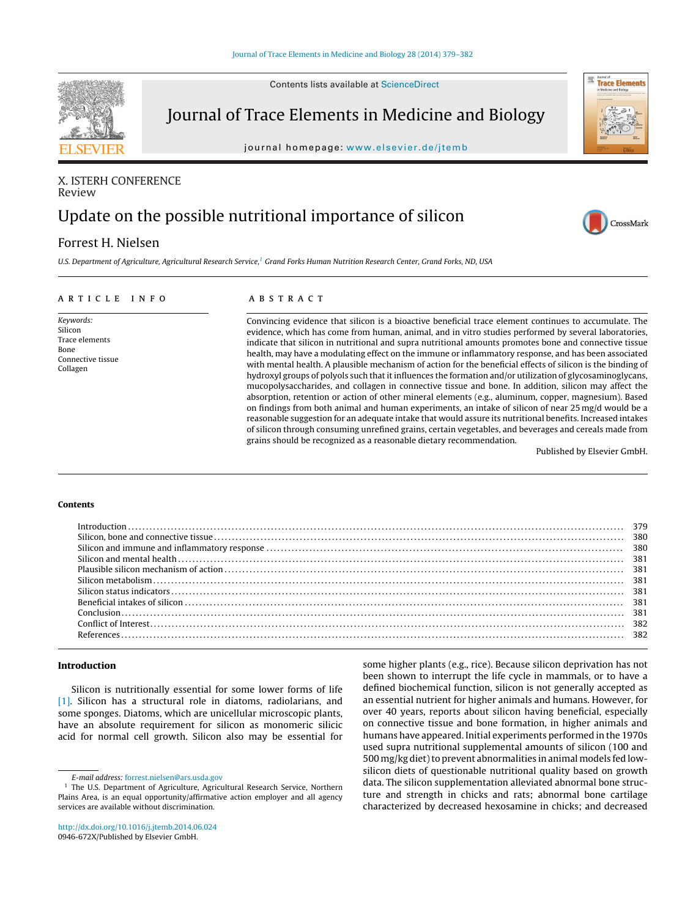Contents lists available at [ScienceDirect](http://www.sciencedirect.com/science/journal/0946672X)



Journal of Trace Elements in Medicine and Biology

journal homepage: www.elsevier.de/itemb

# X. ISTERH CONFERENCE Review

# Update on the possible nutritional importance of silicon

# Forrest H. Nielsen

U.S. Department of Agriculture, Agricultural Research Service,1 Grand Forks Human Nutrition Research Center, Grand Forks, ND, USA

#### ARTICLE INFO

Keywords: Silicon Trace elements Bone Connective tissue Collagen

### a b s t r a c t

Convincing evidence that silicon is a bioactive beneficial trace element continues to accumulate. The evidence, which has come from human, animal, and in vitro studies performed by several laboratories, indicate that silicon in nutritional and supra nutritional amounts promotes bone and connective tissue health, may have a modulating effect on the immune or inflammatory response, and has been associated with mental health. A plausible mechanism of action for the beneficial effects of silicon is the binding of hydroxyl groups of polyols such that it influences the formation and/or utilization of glycosaminoglycans, mucopolysaccharides, and collagen in connective tissue and bone. In addition, silicon may affect the absorption, retention or action of other mineral elements (e.g., aluminum, copper, magnesium). Based on findings from both animal and human experiments, an intake of silicon of near 25 mg/d would be a reasonable suggestion for an adequate intake that would assure its nutritional benefits. Increased intakes of silicon through consuming unrefined grains, certain vegetables, and beverages and cereals made from grains should be recognized as a reasonable dietary recommendation.

Published by Elsevier GmbH.

**Trace Elements** 

CrossMark

#### **Contents**

|  | $Introduction \dots 1279$ |  | 380<br>380<br>381<br>381<br>381<br>382<br>382 |
|--|---------------------------|--|-----------------------------------------------|
|--|---------------------------|--|-----------------------------------------------|

## **Introduction**

Silicon is nutritionally essential for some lower forms of life [\[1\].](#page-3-0) Silicon has a structural role in diatoms, radiolarians, and some sponges. Diatoms, which are unicellular microscopic plants, have an absolute requirement for silicon as monomeric silicic acid for normal cell growth. Silicon also may be essential for

some higher plants (e.g., rice). Because silicon deprivation has not been shown to interrupt the life cycle in mammals, or to have a defined biochemical function, silicon is not generally accepted as an essential nutrient for higher animals and humans. However, for over 40 years, reports about silicon having beneficial, especially on connective tissue and bone formation, in higher animals and humans have appeared. Initial experiments performed in the 1970s used supra nutritional supplemental amounts of silicon (100 and 500 mg/kg diet) to prevent abnormalities in animal models fed lowsilicon diets of questionable nutritional quality based on growth data. The silicon supplementation alleviated abnormal bone structure and strength in chicks and rats; abnormal bone cartilage characterized by decreased hexosamine in chicks; and decreased

E-mail address: [forrest.nielsen@ars.usda.gov](mailto:forrest.nielsen@ars.usda.gov)

<sup>&</sup>lt;sup>1</sup> The U.S. Department of Agriculture, Agricultural Research Service, Northern Plains Area, is an equal opportunity/affirmative action employer and all agency services are available without discrimination.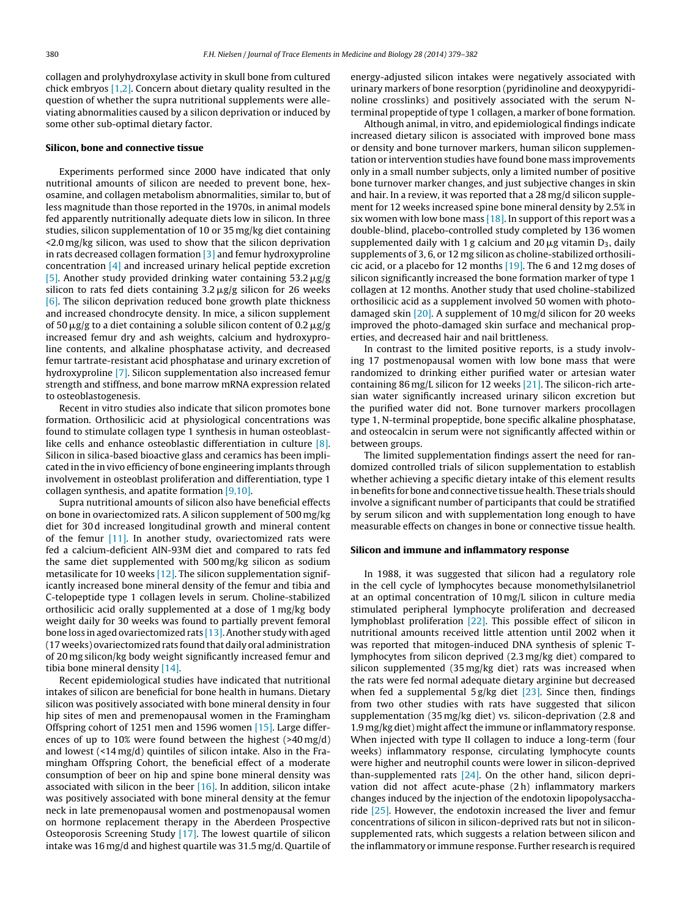collagen and prolyhydroxylase activity in skull bone from cultured chick embryos  $[1,2]$ . Concern about dietary quality resulted in the question of whether the supra nutritional supplements were alleviating abnormalities caused by a silicon deprivation or induced by some other sub-optimal dietary factor.

#### **Silicon, bone and connective tissue**

Experiments performed since 2000 have indicated that only nutritional amounts of silicon are needed to prevent bone, hexosamine, and collagen metabolism abnormalities, similar to, but of less magnitude than those reported in the 1970s, in animal models fed apparently nutritionally adequate diets low in silicon. In three studies, silicon supplementation of 10 or 35 mg/kg diet containing <2.0 mg/kg silicon, was used to show that the silicon deprivation in rats decreased collagen formation  $\lceil 3 \rceil$  and femur hydroxyproline concentration [\[4\]](#page-3-0) and increased urinary helical peptide excretion [\[5\].](#page-3-0) Another study provided drinking water containing 53.2  $\mu$ g/g silicon to rats fed diets containing 3.2  $\mu$ g/g silicon for 26 weeks [\[6\].](#page-3-0) The silicon deprivation reduced bone growth plate thickness and increased chondrocyte density. In mice, a silicon supplement of 50  $\mu$ g/g to a diet containing a soluble silicon content of 0.2  $\mu$ g/g increased femur dry and ash weights, calcium and hydroxyproline contents, and alkaline phosphatase activity, and decreased femur tartrate-resistant acid phosphatase and urinary excretion of hydroxyproline [\[7\].](#page-3-0) Silicon supplementation also increased femur strength and stiffness, and bone marrow mRNA expression related to osteoblastogenesis.

Recent in vitro studies also indicate that silicon promotes bone formation. Orthosilicic acid at physiological concentrations was found to stimulate collagen type 1 synthesis in human osteoblastlike cells and enhance osteoblastic differentiation in culture [\[8\].](#page-3-0) Silicon in silica-based bioactive glass and ceramics has been implicated in the in vivo efficiency of bone engineering implants through involvement in osteoblast proliferation and differentiation, type 1 collagen synthesis, and apatite formation [\[9,10\].](#page-3-0)

Supra nutritional amounts of silicon also have beneficial effects on bone in ovariectomized rats. A silicon supplement of 500 mg/kg diet for 30 d increased longitudinal growth and mineral content of the femur [\[11\].](#page-3-0) In another study, ovariectomized rats were fed a calcium-deficient AIN-93M diet and compared to rats fed the same diet supplemented with 500 mg/kg silicon as sodium metasilicate for 10 weeks  $[12]$ . The silicon supplementation significantly increased bone mineral density of the femur and tibia and C-telopeptide type 1 collagen levels in serum. Choline-stabilized orthosilicic acid orally supplemented at a dose of 1 mg/kg body weight daily for 30 weeks was found to partially prevent femoral bone loss in aged ovariectomized rats [13]. Another study with aged (17 weeks) ovariectomized rats found that daily oral administration of 20 mg silicon/kg body weight significantly increased femur and tibia bone mineral density [\[14\].](#page-3-0)

Recent epidemiological studies have indicated that nutritional intakes of silicon are beneficial for bone health in humans. Dietary silicon was positively associated with bone mineral density in four hip sites of men and premenopausal women in the Framingham Offspring cohort of 1251 men and 1596 women [\[15\].](#page-3-0) Large differences of up to 10% were found between the highest (>40 mg/d) and lowest  $(14 \text{ mg/d})$  quintiles of silicon intake. Also in the Framingham Offspring Cohort, the beneficial effect of a moderate consumption of beer on hip and spine bone mineral density was associated with silicon in the beer  $[16]$ . In addition, silicon intake was positively associated with bone mineral density at the femur neck in late premenopausal women and postmenopausal women on hormone replacement therapy in the Aberdeen Prospective Osteoporosis Screening Study [\[17\].](#page-3-0) The lowest quartile of silicon intake was 16 mg/d and highest quartile was 31.5 mg/d. Quartile of energy-adjusted silicon intakes were negatively associated with urinary markers of bone resorption (pyridinoline and deoxypyridinoline crosslinks) and positively associated with the serum Nterminal propeptide of type 1 collagen, a marker of bone formation.

Although animal, in vitro, and epidemiological findings indicate increased dietary silicon is associated with improved bone mass or density and bone turnover markers, human silicon supplementation or intervention studies have found bone mass improvements only in a small number subjects, only a limited number of positive bone turnover marker changes, and just subjective changes in skin and hair. In a review, it was reported that a 28 mg/d silicon supplement for 12 weeks increased spine bone mineral density by 2.5% in six women with low bone mass  $[18]$ . In support of this report was a double-blind, placebo-controlled study completed by 136 women supplemented daily with 1 g calcium and 20  $\mu$ g vitamin D<sub>3</sub>, daily supplements of 3, 6, or 12 mg silicon as choline-stabilized orthosilicic acid, or a placebo for 12 months  $[19]$ . The 6 and 12 mg doses of silicon significantly increased the bone formation marker of type 1 collagen at 12 months. Another study that used choline-stabilized orthosilicic acid as a supplement involved 50 women with photodamaged skin  $[20]$ . A supplement of 10 mg/d silicon for 20 weeks improved the photo-damaged skin surface and mechanical properties, and decreased hair and nail brittleness.

In contrast to the limited positive reports, is a study involving 17 postmenopausal women with low bone mass that were randomized to drinking either purified water or artesian water containing 86 mg/L silicon for 12 weeks  $[21]$ . The silicon-rich artesian water significantly increased urinary silicon excretion but the purified water did not. Bone turnover markers procollagen type 1, N-terminal propeptide, bone specific alkaline phosphatase, and osteocalcin in serum were not significantly affected within or between groups.

The limited supplementation findings assert the need for randomized controlled trials of silicon supplementation to establish whether achieving a specific dietary intake of this element results in benefits for bone and connective tissue health. These trials should involve a significant number of participants that could be stratified by serum silicon and with supplementation long enough to have measurable effects on changes in bone or connective tissue health.

#### **Silicon and immune and inflammatory response**

In 1988, it was suggested that silicon had a regulatory role in the cell cycle of lymphocytes because monomethylsilanetriol at an optimal concentration of 10 mg/L silicon in culture media stimulated peripheral lymphocyte proliferation and decreased lymphoblast proliferation [\[22\].](#page-3-0) This possible effect of silicon in nutritional amounts received little attention until 2002 when it was reported that mitogen-induced DNA synthesis of splenic Tlymphocytes from silicon deprived (2.3 mg/kg diet) compared to silicon supplemented (35 mg/kg diet) rats was increased when the rats were fed normal adequate dietary arginine but decreased when fed a supplemental  $5 g/kg$  diet  $[23]$ . Since then, findings from two other studies with rats have suggested that silicon supplementation (35 mg/kg diet) vs. silicon-deprivation (2.8 and 1.9 mg/kg diet) might affect the immune or inflammatory response. When injected with type II collagen to induce a long-term (four weeks) inflammatory response, circulating lymphocyte counts were higher and neutrophil counts were lower in silicon-deprived than-supplemented rats [\[24\].](#page-3-0) On the other hand, silicon deprivation did not affect acute-phase (2 h) inflammatory markers changes induced by the injection of the endotoxin lipopolysaccharide  $[25]$ . However, the endotoxin increased the liver and femur concentrations of silicon in silicon-deprived rats but not in siliconsupplemented rats, which suggests a relation between silicon and the inflammatory or immune response. Further research is required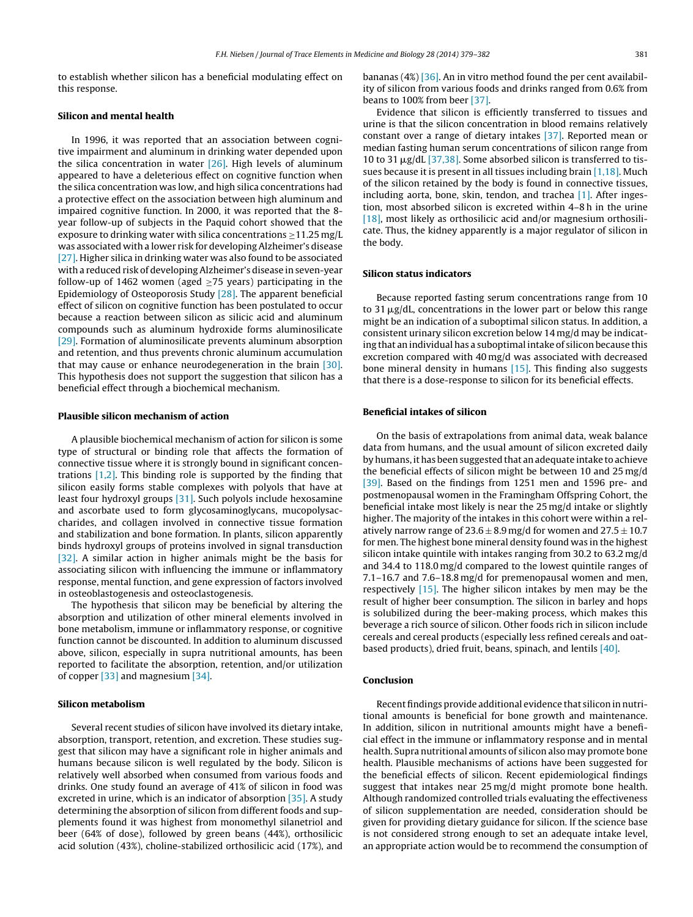to establish whether silicon has a beneficial modulating effect on this response.

#### **Silicon and mental health**

In 1996, it was reported that an association between cognitive impairment and aluminum in drinking water depended upon the silica concentration in water  $[26]$ . High levels of aluminum appeared to have a deleterious effect on cognitive function when the silica concentration was low, and high silica concentrations had a protective effect on the association between high aluminum and impaired cognitive function. In 2000, it was reported that the 8 year follow-up of subjects in the Paquid cohort showed that the exposure to drinking water with silica concentrations ≥11.25 mg/L was associated with a lower risk for developing Alzheimer's disease [\[27\].](#page-3-0) Higher silica in drinking water was also found to be associated with a reduced risk of developing Alzheimer's disease in seven-year follow-up of 1462 women (aged  $>75$  years) participating in the Epidemiology of Osteoporosis Study [\[28\].](#page-3-0) The apparent beneficial effect of silicon on cognitive function has been postulated to occur because a reaction between silicon as silicic acid and aluminum compounds such as aluminum hydroxide forms aluminosilicate [\[29\].](#page-3-0) Formation of aluminosilicate prevents aluminum absorption and retention, and thus prevents chronic aluminum accumulation that may cause or enhance neurodegeneration in the brain [\[30\].](#page-3-0) This hypothesis does not support the suggestion that silicon has a beneficial effect through a biochemical mechanism.

#### **Plausible silicon mechanism of action**

A plausible biochemical mechanism of action for silicon is some type of structural or binding role that affects the formation of connective tissue where it is strongly bound in significant concentrations [\[1,2\].](#page-3-0) This binding role is supported by the finding that silicon easily forms stable complexes with polyols that have at least four hydroxyl groups [\[31\].](#page-3-0) Such polyols include hexosamine and ascorbate used to form glycosaminoglycans, mucopolysaccharides, and collagen involved in connective tissue formation and stabilization and bone formation. In plants, silicon apparently binds hydroxyl groups of proteins involved in signal transduction [\[32\].](#page-3-0) A similar action in higher animals might be the basis for associating silicon with influencing the immune or inflammatory response, mental function, and gene expression of factors involved in osteoblastogenesis and osteoclastogenesis.

The hypothesis that silicon may be beneficial by altering the absorption and utilization of other mineral elements involved in bone metabolism, immune or inflammatory response, or cognitive function cannot be discounted. In addition to aluminum discussed above, silicon, especially in supra nutritional amounts, has been reported to facilitate the absorption, retention, and/or utilization of copper [\[33\]](#page-3-0) and magnesium [\[34\].](#page-3-0)

#### **Silicon metabolism**

Several recent studies of silicon have involved its dietary intake, absorption, transport, retention, and excretion. These studies suggest that silicon may have a significant role in higher animals and humans because silicon is well regulated by the body. Silicon is relatively well absorbed when consumed from various foods and drinks. One study found an average of 41% of silicon in food was excreted in urine, which is an indicator of absorption [\[35\].](#page-3-0) A study determining the absorption of silicon from different foods and supplements found it was highest from monomethyl silanetriol and beer (64% of dose), followed by green beans (44%), orthosilicic acid solution (43%), choline-stabilized orthosilicic acid (17%), and bananas (4%) [\[36\].](#page-3-0) An in vitro method found the per cent availability of silicon from various foods and drinks ranged from 0.6% from beans to 100% from beer [\[37\].](#page-3-0)

Evidence that silicon is efficiently transferred to tissues and urine is that the silicon concentration in blood remains relatively constant over a range of dietary intakes [\[37\].](#page-3-0) Reported mean or median fasting human serum concentrations of silicon range from 10 to 31  $\mu$ g/dL [\[37,38\].](#page-3-0) Some absorbed silicon is transferred to tissues because it is present in all tissues including brain [\[1,18\].](#page-3-0) Much of the silicon retained by the body is found in connective tissues, including aorta, bone, skin, tendon, and trachea [\[1\].](#page-3-0) After ingestion, most absorbed silicon is excreted within 4–8 h in the urine [\[18\],](#page-3-0) most likely as orthosilicic acid and/or magnesium orthosilicate. Thus, the kidney apparently is a major regulator of silicon in the body.

#### **Silicon status indicators**

Because reported fasting serum concentrations range from 10 to 31  $\mu$ g/dL, concentrations in the lower part or below this range might be an indication of a suboptimal silicon status. In addition, a consistent urinary silicon excretion below 14 mg/d may be indicating that an individual has a suboptimal intake of silicon because this excretion compared with 40 mg/d was associated with decreased bone mineral density in humans [\[15\].](#page-3-0) This finding also suggests that there is a dose-response to silicon for its beneficial effects.

#### **Beneficial intakes of silicon**

On the basis of extrapolations from animal data, weak balance data from humans, and the usual amount of silicon excreted daily byhumans, ithas beensuggested that anadequate intake to achieve the beneficial effects of silicon might be between 10 and 25 mg/d [\[39\].](#page-3-0) Based on the findings from 1251 men and 1596 pre- and postmenopausal women in the Framingham Offspring Cohort, the beneficial intake most likely is near the 25 mg/d intake or slightly higher. The majority of the intakes in this cohort were within a relatively narrow range of  $23.6 \pm 8.9$  mg/d for women and  $27.5 \pm 10.7$ for men. The highest bone mineral density found was in the highest silicon intake quintile with intakes ranging from 30.2 to 63.2 mg/d and 34.4 to 118.0 mg/d compared to the lowest quintile ranges of 7.1–16.7 and 7.6–18.8 mg/d for premenopausal women and men, respectively [\[15\].](#page-3-0) The higher silicon intakes by men may be the result of higher beer consumption. The silicon in barley and hops is solubilized during the beer-making process, which makes this beverage a rich source of silicon. Other foods rich in silicon include cereals and cereal products (especially less refined cereals and oatbased products), dried fruit, beans, spinach, and lentils [\[40\].](#page-3-0)

#### **Conclusion**

Recent findings provide additional evidence that silicon in nutritional amounts is beneficial for bone growth and maintenance. In addition, silicon in nutritional amounts might have a beneficial effect in the immune or inflammatory response and in mental health. Supra nutritional amounts of silicon also may promote bone health. Plausible mechanisms of actions have been suggested for the beneficial effects of silicon. Recent epidemiological findings suggest that intakes near 25 mg/d might promote bone health. Although randomized controlled trials evaluating the effectiveness of silicon supplementation are needed, consideration should be given for providing dietary guidance for silicon. If the science base is not considered strong enough to set an adequate intake level, an appropriate action would be to recommend the consumption of